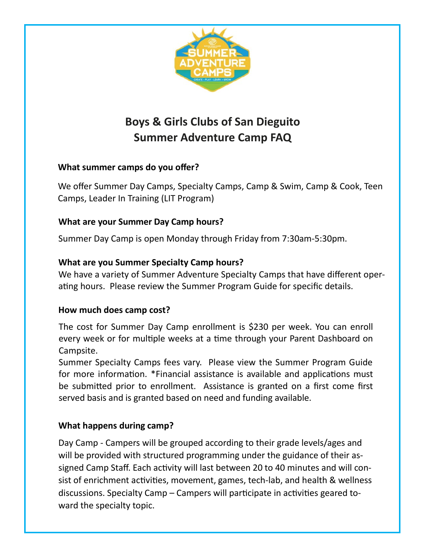

# **Boys & Girls Clubs of San Dieguito Summer Adventure Camp FAQ**

## **What summer camps do you offer?**

We offer Summer Day Camps, Specialty Camps, Camp & Swim, Camp & Cook, Teen Camps, Leader In Training (LIT Program)

### **What are your Summer Day Camp hours?**

Summer Day Camp is open Monday through Friday from 7:30am-5:30pm.

### **What are you Summer Specialty Camp hours?**

We have a variety of Summer Adventure Specialty Camps that have different operating hours. Please review the Summer Program Guide for specific details.

### **How much does camp cost?**

The cost for Summer Day Camp enrollment is \$230 per week. You can enroll every week or for multiple weeks at a time through your Parent Dashboard on Campsite.

Summer Specialty Camps fees vary. Please view the Summer Program Guide for more information. \*Financial assistance is available and applications must be submitted prior to enrollment. Assistance is granted on a first come first served basis and is granted based on need and funding available.

### **What happens during camp?**

Day Camp - Campers will be grouped according to their grade levels/ages and will be provided with structured programming under the guidance of their assigned Camp Staff. Each activity will last between 20 to 40 minutes and will consist of enrichment activities, movement, games, tech-lab, and health & wellness discussions. Specialty Camp – Campers will participate in activities geared toward the specialty topic.